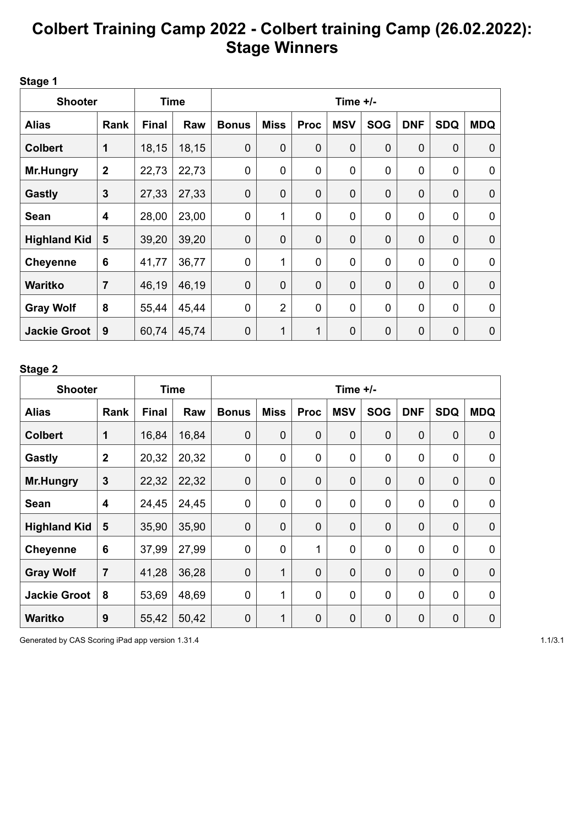# **Colbert Training Camp 2022 - Colbert training Camp (26.02.2022): Stage Winners**

**Stage 1**

| <b>Shooter</b>      |                  | <b>Time</b>  |       | Time $+/-$   |                |             |             |                |                  |             |             |
|---------------------|------------------|--------------|-------|--------------|----------------|-------------|-------------|----------------|------------------|-------------|-------------|
| <b>Alias</b>        | Rank             | <b>Final</b> | Raw   | <b>Bonus</b> | <b>Miss</b>    | <b>Proc</b> | <b>MSV</b>  | <b>SOG</b>     | <b>DNF</b>       | <b>SDQ</b>  | <b>MDQ</b>  |
| <b>Colbert</b>      | $\mathbf 1$      | 18,15        | 18,15 | $\mathbf 0$  | $\mathbf 0$    | $\mathbf 0$ | 0           | $\mathbf 0$    | $\boldsymbol{0}$ | $\mathbf 0$ | 0           |
| <b>Mr.Hungry</b>    | $\boldsymbol{2}$ | 22,73        | 22,73 | 0            | $\mathbf 0$    | 0           | $\mathbf 0$ | 0              | 0                | $\mathbf 0$ | 0           |
| <b>Gastly</b>       | 3                | 27,33        | 27,33 | 0            | $\mathbf 0$    | $\mathbf 0$ | $\mathbf 0$ | $\mathbf 0$    | $\mathbf 0$      | $\mathbf 0$ | $\mathbf 0$ |
| <b>Sean</b>         | 4                | 28,00        | 23,00 | $\mathbf 0$  | $\mathbf{1}$   | $\mathbf 0$ | 0           | 0              | $\mathbf 0$      | $\mathbf 0$ | 0           |
| <b>Highland Kid</b> | 5                | 39,20        | 39,20 | $\mathbf 0$  | $\mathbf 0$    | $\mathbf 0$ | $\mathbf 0$ | $\mathbf 0$    | $\boldsymbol{0}$ | $\mathbf 0$ | $\mathbf 0$ |
| <b>Cheyenne</b>     | 6                | 41,77        | 36,77 | $\mathbf 0$  | 1              | $\mathbf 0$ | 0           | 0              | $\mathbf 0$      | $\mathbf 0$ | 0           |
| <b>Waritko</b>      | $\overline{7}$   | 46,19        | 46,19 | $\mathbf 0$  | $\mathbf 0$    | $\mathbf 0$ | $\mathbf 0$ | $\overline{0}$ | $\mathbf 0$      | $\mathbf 0$ | $\mathbf 0$ |
| <b>Gray Wolf</b>    | 8                | 55,44        | 45,44 | 0            | $\overline{2}$ | $\mathbf 0$ | 0           | 0              | 0                | 0           | 0           |
| <b>Jackie Groot</b> | 9                | 60,74        | 45,74 | $\mathbf 0$  | 1              | 1           | $\mathbf 0$ | $\mathbf 0$    | $\mathbf 0$      | $\mathbf 0$ | 0           |

### **Stage 2**

| <b>Shooter</b>      |                         | Time         |       | Time $+/-$     |                |             |                |                |             |                |             |  |
|---------------------|-------------------------|--------------|-------|----------------|----------------|-------------|----------------|----------------|-------------|----------------|-------------|--|
| <b>Alias</b>        | Rank                    | <b>Final</b> | Raw   | <b>Bonus</b>   | <b>Miss</b>    | <b>Proc</b> | <b>MSV</b>     | <b>SOG</b>     | <b>DNF</b>  | <b>SDQ</b>     | <b>MDQ</b>  |  |
| <b>Colbert</b>      | 1                       | 16,84        | 16,84 | $\mathbf 0$    | $\mathbf 0$    | $\mathbf 0$ | $\overline{0}$ | $\mathbf 0$    | $\mathbf 0$ | $\mathbf 0$    | 0           |  |
| Gastly              | $\overline{2}$          | 20,32        | 20,32 | $\mathbf 0$    | $\mathbf 0$    | 0           | $\mathbf 0$    | 0              | $\mathbf 0$ | $\mathbf 0$    | 0           |  |
| Mr.Hungry           | 3                       | 22,32        | 22,32 | $\mathbf 0$    | $\mathbf 0$    | $\mathbf 0$ | $\overline{0}$ | $\mathbf 0$    | $\mathbf 0$ | $\mathbf 0$    | $\mathbf 0$ |  |
| Sean                | $\overline{\mathbf{4}}$ | 24,45        | 24,45 | $\mathbf 0$    | $\mathbf 0$    | $\mathbf 0$ | 0              | 0              | $\mathbf 0$ | $\mathbf 0$    | 0           |  |
| <b>Highland Kid</b> | 5                       | 35,90        | 35,90 | $\mathbf 0$    | $\overline{0}$ | $\mathbf 0$ | $\mathbf 0$    | $\overline{0}$ | $\mathbf 0$ | $\mathbf 0$    | $\mathbf 0$ |  |
| <b>Cheyenne</b>     | 6                       | 37,99        | 27,99 | $\mathbf 0$    | $\mathbf 0$    | 1           | $\mathbf 0$    | 0              | 0           | $\mathbf 0$    | 0           |  |
| <b>Gray Wolf</b>    | $\overline{7}$          | 41,28        | 36,28 | $\overline{0}$ | 1              | $\mathbf 0$ | 0              | $\overline{0}$ | $\mathbf 0$ | $\overline{0}$ | 0           |  |
| <b>Jackie Groot</b> | 8                       | 53,69        | 48,69 | $\mathbf 0$    | 1              | 0           | 0              | 0              | 0           | $\mathbf 0$    | 0           |  |
| <b>Waritko</b>      | 9                       | 55,42        | 50,42 | $\mathbf 0$    | $\mathbf{1}$   | $\mathbf 0$ | 0              | $\mathbf 0$    | 0           | $\mathbf 0$    | 0           |  |

Generated by CAS Scoring iPad app version 1.31.4 1.1/3.1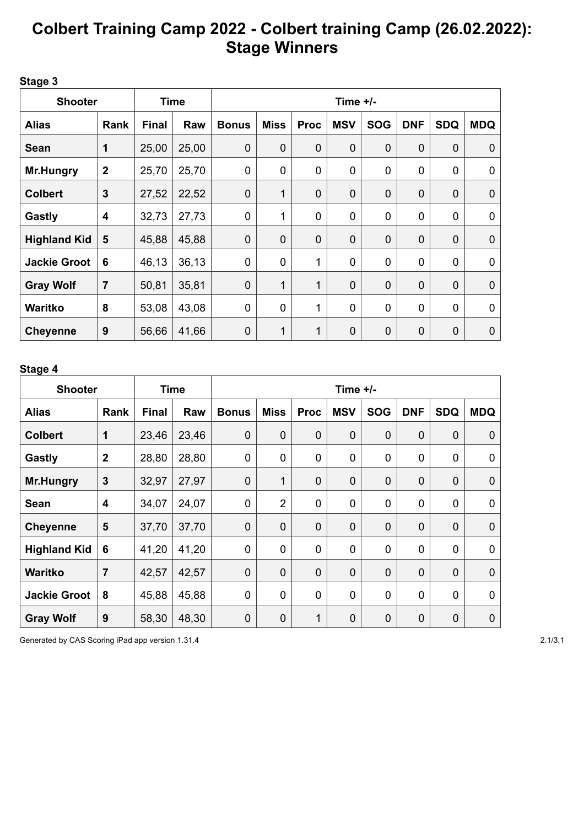# **Colbert Training Camp 2022 - Colbert training Camp (26.02.2022): Stage Winners**

### **Stage 3**

| <b>Shooter</b>      |                         |              | <b>Time</b> | Time $+/-$   |                |             |                |            |             |             |             |  |
|---------------------|-------------------------|--------------|-------------|--------------|----------------|-------------|----------------|------------|-------------|-------------|-------------|--|
| <b>Alias</b>        | Rank                    | <b>Final</b> | Raw         | <b>Bonus</b> | <b>Miss</b>    | <b>Proc</b> | <b>MSV</b>     | <b>SOG</b> | <b>DNF</b>  | <b>SDQ</b>  | <b>MDQ</b>  |  |
| <b>Sean</b>         | 1                       | 25,00        | 25,00       | $\mathbf 0$  | $\mathbf 0$    | $\mathbf 0$ | $\mathbf 0$    | 0          | $\mathbf 0$ | $\mathbf 0$ | 0           |  |
| <b>Mr.Hungry</b>    | $\overline{2}$          | 25,70        | 25,70       | 0            | $\mathbf 0$    | $\mathbf 0$ | $\mathbf 0$    | 0          | 0           | $\mathbf 0$ | 0           |  |
| <b>Colbert</b>      | $\mathbf{3}$            | 27,52        | 22,52       | $\mathbf 0$  | 1              | $\mathbf 0$ | $\mathbf 0$    | 0          | $\mathbf 0$ | $\mathbf 0$ | $\mathbf 0$ |  |
| <b>Gastly</b>       | $\overline{\mathbf{4}}$ | 32,73        | 27,73       | 0            | 1              | $\mathbf 0$ | 0              | 0          | 0           | $\mathbf 0$ | 0           |  |
| <b>Highland Kid</b> | 5                       | 45,88        | 45,88       | $\mathbf 0$  | $\overline{0}$ | $\mathbf 0$ | $\overline{0}$ | 0          | $\mathbf 0$ | $\mathbf 0$ | $\mathbf 0$ |  |
| <b>Jackie Groot</b> | 6                       | 46,13        | 36,13       | 0            | $\mathbf 0$    | 1           | 0              | 0          | 0           | 0           | 0           |  |
| <b>Gray Wolf</b>    | $\overline{7}$          | 50,81        | 35,81       | $\mathbf 0$  | 1              | 1           | $\overline{0}$ | 0          | $\mathbf 0$ | $\mathbf 0$ | $\mathbf 0$ |  |
| <b>Waritko</b>      | 8                       | 53,08        | 43,08       | 0            | $\mathbf 0$    | 1           | $\mathbf 0$    | 0          | 0           | $\mathbf 0$ | 0           |  |
| <b>Cheyenne</b>     | 9                       | 56,66        | 41,66       | $\mathbf 0$  | 1              | 1           | $\mathbf 0$    | 0          | $\mathbf 0$ | $\mathbf 0$ | 0           |  |

### **Stage 4**

| <b>Shooter</b>      |                         | Time         |       | Time $+/-$     |                |              |                |             |             |                |                |  |
|---------------------|-------------------------|--------------|-------|----------------|----------------|--------------|----------------|-------------|-------------|----------------|----------------|--|
| <b>Alias</b>        | Rank                    | <b>Final</b> | Raw   | <b>Bonus</b>   | <b>Miss</b>    | <b>Proc</b>  | <b>MSV</b>     | <b>SOG</b>  | <b>DNF</b>  | <b>SDQ</b>     | <b>MDQ</b>     |  |
| <b>Colbert</b>      | 1                       | 23,46        | 23,46 | $\mathbf 0$    | $\mathbf 0$    | $\mathbf 0$  | $\mathbf 0$    | $\mathbf 0$ | $\mathbf 0$ | $\mathbf 0$    | 0              |  |
| Gastly              | $\overline{2}$          | 28,80        | 28,80 | $\mathbf 0$    | $\mathbf 0$    | $\mathbf 0$  | $\mathbf 0$    | 0           | $\mathbf 0$ | $\mathbf 0$    | 0              |  |
| <b>Mr.Hungry</b>    | $\mathbf{3}$            | 32,97        | 27,97 | $\overline{0}$ | 1              | $\mathbf 0$  | $\mathbf 0$    | $\mathbf 0$ | 0           | $\mathbf 0$    | $\mathbf 0$    |  |
| <b>Sean</b>         | $\overline{\mathbf{4}}$ | 34,07        | 24,07 | $\mathbf 0$    | $\overline{2}$ | $\mathbf 0$  | 0              | 0           | $\mathbf 0$ | $\mathbf 0$    | 0              |  |
| <b>Cheyenne</b>     | 5                       | 37,70        | 37,70 | $\mathbf 0$    | $\mathbf 0$    | $\mathbf 0$  | $\overline{0}$ | $\mathbf 0$ | $\mathbf 0$ | $\mathbf 0$    | 0              |  |
| <b>Highland Kid</b> | 6                       | 41,20        | 41,20 | $\mathbf 0$    | $\mathbf 0$    | $\mathbf 0$  | $\mathbf 0$    | 0           | $\mathbf 0$ | $\mathbf 0$    | 0              |  |
| <b>Waritko</b>      | $\overline{7}$          | 42,57        | 42,57 | $\overline{0}$ | $\overline{0}$ | $\mathbf 0$  | 0              | 0           | 0           | $\overline{0}$ | $\overline{0}$ |  |
| <b>Jackie Groot</b> | 8                       | 45,88        | 45,88 | $\mathbf 0$    | $\mathbf 0$    | 0            | 0              | 0           | 0           | $\mathbf 0$    | 0              |  |
| <b>Gray Wolf</b>    | 9                       | 58,30        | 48,30 | $\mathbf 0$    | $\mathbf 0$    | $\mathbf{1}$ | $\mathbf 0$    | 0           | 0           | $\mathbf 0$    | 0              |  |

Generated by CAS Scoring iPad app version 1.31.4 2.1/3.1